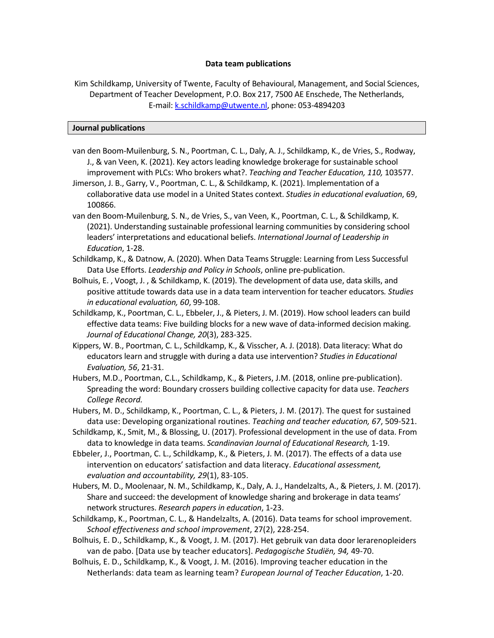## **Data team publications**

Kim Schildkamp, University of Twente, Faculty of Behavioural, Management, and Social Sciences, Department of Teacher Development, P.O. Box 217, 7500 AE Enschede, The Netherlands, E-mail: [k.schildkamp@utwente.nl,](mailto:k.schildkamp@utwente.nl) phone: 053-4894203

## **Journal publications**

- van den Boom-Muilenburg, S. N., Poortman, C. L., Daly, A. J., Schildkamp, K., de Vries, S., Rodway, J., & van Veen, K. (2021). Key actors leading knowledge brokerage for sustainable school improvement with PLCs: Who brokers what?. *Teaching and Teacher Education, 110,* 103577.
- Jimerson, J. B., Garry, V., Poortman, C. L., & Schildkamp, K. (2021). Implementation of a collaborative data use model in a United States context. *Studies in educational evaluation*, 69, 100866.
- van den Boom-Muilenburg, S. N., de Vries, S., van Veen, K., Poortman, C. L., & Schildkamp, K. (2021). Understanding sustainable professional learning communities by considering school leaders' interpretations and educational beliefs. *International Journal of Leadership in Education*, 1-28.
- Schildkamp, K., & Datnow, A. (2020). When Data Teams Struggle: Learning from Less Successful Data Use Efforts. *Leadership and Policy in Schools*, online pre-publication.
- Bolhuis, E. , Voogt, J. , & Schildkamp, K. (2019). The development of data use, data skills, and positive attitude towards data use in a data team intervention for teacher educators*. Studies in educational evaluation, 60*, 99-108.
- Schildkamp, K., Poortman, C. L., Ebbeler, J., & Pieters, J. M. (2019). How school leaders can build effective data teams: Five building blocks for a new wave of data-informed decision making. *Journal of Educational Change, 20*(3), 283-325.
- Kippers, W. B., Poortman, C. L., Schildkamp, K., & Visscher, A. J. (2018). Data literacy: What do educators learn and struggle with during a data use intervention? *Studies in Educational Evaluation, 56*, 21-31.
- Hubers, M.D., Poortman, C.L., Schildkamp, K., & Pieters, J.M. (2018, online pre-publication). Spreading the word: Boundary crossers building collective capacity for data use. *Teachers College Record.*
- Hubers, M. D., Schildkamp, K., Poortman, C. L., & Pieters, J. M. (2017). The quest for sustained data use: Developing organizational routines. *Teaching and teacher education, 67*, 509-521.
- Schildkamp, K., Smit, M., & Blossing, U. (2017). Professional development in the use of data. From data to knowledge in data teams. *Scandinavian Journal of Educational Research,* 1-19.
- Ebbeler, J., Poortman, C. L., Schildkamp, K., & Pieters, J. M. (2017). The effects of a data use intervention on educators' satisfaction and data literacy. *Educational assessment, evaluation and accountability, 29*(1), 83-105.
- Hubers, M. D., Moolenaar, N. M., Schildkamp, K., Daly, A. J., Handelzalts, A., & Pieters, J. M. (2017). Share and succeed: the development of knowledge sharing and brokerage in data teams' network structures. *Research papers in education*, 1-23.
- Schildkamp, K., Poortman, C. L., & Handelzalts, A. (2016). Data teams for school improvement. *School effectiveness and school improvement*, 27(2), 228-254.
- Bolhuis, E. D., Schildkamp, K., & Voogt, J. M. (2017). Het gebruik van data door lerarenopleiders van de pabo. [Data use by teacher educators]. *Pedagogische Studiën, 94,* 49-70.
- Bolhuis, E. D., Schildkamp, K., & Voogt, J. M. (2016). Improving teacher education in the Netherlands: data team as learning team? *European Journal of Teacher Education*, 1-20.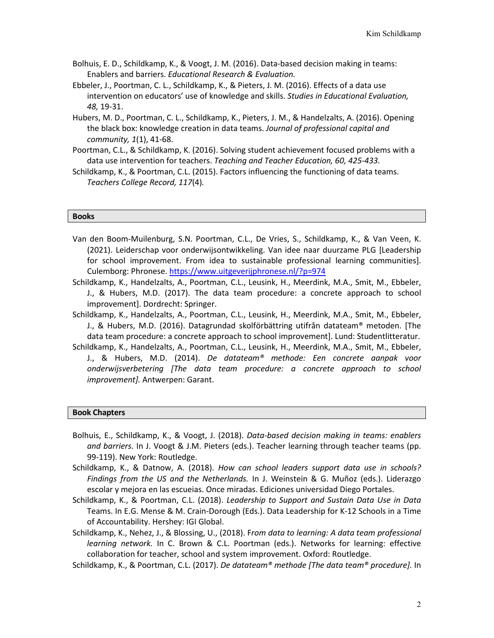- Bolhuis, E. D., Schildkamp, K., & Voogt, J. M. (2016). Data-based decision making in teams: Enablers and barriers. *Educational Research & Evaluation.*
- Ebbeler, J., Poortman, C. L., Schildkamp, K., & Pieters, J. M. (2016). Effects of a data use intervention on educators' use of knowledge and skills. *Studies in Educational Evaluation, 48,* 19-31.
- Hubers, M. D., Poortman, C. L., Schildkamp, K., Pieters, J. M., & Handelzalts, A. (2016). Opening the black box: knowledge creation in data teams. *Journal of professional capital and community, 1*(1), 41-68.
- Poortman, C.L., & Schildkamp, K. (2016). Solving student achievement focused problems with a data use intervention for teachers. *Teaching and Teacher Education, 60, 425-433.*
- Schildkamp, K., & Poortman, C.L. (2015). Factors influencing the functioning of data teams. *Teachers College Record, 117*(4)*.*

## **Books**

- Van den Boom-Muilenburg, S.N. Poortman, C.L., De Vries, S., Schildkamp, K., & Van Veen, K. (2021). Leiderschap voor onderwijsontwikkeling. Van idee naar duurzame PLG [Leadership for school improvement. From idea to sustainable professional learning communities]. Culemborg: Phronese.<https://www.uitgeverijphronese.nl/?p=974>
- Schildkamp, K., Handelzalts, A., Poortman, C.L., Leusink, H., Meerdink, M.A., Smit, M., Ebbeler, J., & Hubers, M.D. (2017). The data team procedure: a concrete approach to school improvement]. Dordrecht: Springer.
- Schildkamp, K., Handelzalts, A., Poortman, C.L., Leusink, H., Meerdink, M.A., Smit, M., Ebbeler, J., & Hubers, M.D. (2016). Datagrundad skolförbättring utifrån datateam® metoden. [The data team procedure: a concrete approach to school improvement]. Lund: Studentlitteratur.
- Schildkamp, K., Handelzalts, A., Poortman, C.L., Leusink, H., Meerdink, M.A., Smit, M., Ebbeler, J., & Hubers, M.D. (2014). *De datateam® methode: Een concrete aanpak voor onderwijsverbetering [The data team procedure: a concrete approach to school improvement].* Antwerpen: Garant.

## **Book Chapters**

- Bolhuis, E., Schildkamp, K., & Voogt, J. (2018). *Data-based decision making in teams: enablers and barriers.* In J. Voogt & J.M. Pieters (eds.). Teacher learning through teacher teams (pp. 99-119). New York: Routledge.
- Schildkamp, K., & Datnow, A. (2018). *How can school leaders support data use in schools? Findings from the US and the Netherlands.* In J. Weinstein & G. Muñoz (eds.). Liderazgo escolar y mejora en las escueias. Once miradas. Ediciones universidad Diego Portales.
- Schildkamp, K., & Poortman, C.L. (2018). *Leadership to Support and Sustain Data Use in Data*  Teams. In E.G. Mense & M. Crain-Dorough (Eds.). Data Leadership for K-12 Schools in a Time of Accountability. Hershey: IGI Global.
- Schildkamp, K., Nehez, J., & Blossing, U., (2018). F*rom data to learning: A data team professional learning network.* In C. Brown & C.L. Poortman (eds.). Networks for learning: effective collaboration for teacher, school and system improvement. Oxford: Routledge.
- Schildkamp, K., & Poortman, C.L. (2017). *De datateam® methode [The data team® procedure].* In